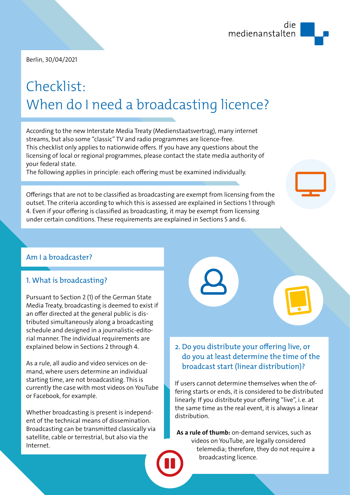

Berlin, 30/04/2021

# Checklist: When do I need a broadcasting licence?

According to the new Interstate Media Treaty (Medienstaatsvertrag), many internet streams, but also some "classic" TV and radio programmes are licence-free. This checklist only applies to nationwide offers. If you have any questions about the licensing of local or regional programmes, please contact the state media authority of your federal state.

The following applies in principle: each offering must be examined individually.

Offerings that are not to be classified as broadcasting are exempt from licensing from the outset. The criteria according to which this is assessed are explained in Sections 1 through 4. Even if your offering is classified as broadcasting, it may be exempt from licensing under certain conditions. These requirements are explained in Sections 5 and 6.

#### Am I a broadcaster?

#### 1. What is broadcasting?

Pursuant to Section 2 (1) of the German State Media Treaty, broadcasting is deemed to exist if an offer directed at the general public is distributed simultaneously along a broadcasting schedule and designed in a journalistic-editorial manner. The individual requirements are explained below in Sections 2 through 4.

As a rule, all audio and video services on demand, where users determine an individual starting time, are not broadcasting. This is currently the case with most videos on YouTube or Facebook, for example.

Whether broadcasting is present is independent of the technical means of dissemination. Broadcasting can be transmitted classically via satellite, cable or terrestrial, but also via the Internet.



# do you at least determine the time of the broadcast start (linear distribution)?

If users cannot determine themselves when the offering starts or ends, it is considered to be distributed linearly. If you distribute your offering "live", i.e. at the same time as the real event, it is always a linear distribution.

**As a rule of thumb:** on-demand services, such as videos on YouTube, are legally considered telemedia; therefore, they do not require a broadcasting licence.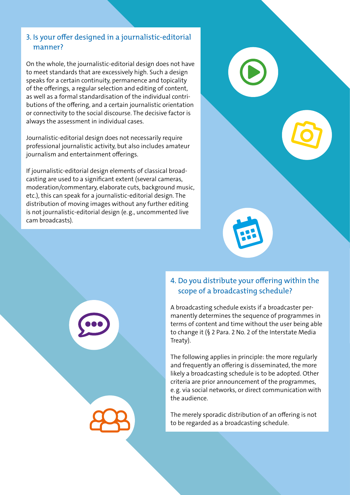#### 3. Is your offer designed in a journalistic-editorial manner?

On the whole, the journalistic-editorial design does not have to meet standards that are excessively high. Such a design speaks for a certain continuity, permanence and topicality of the offerings, a regular selection and editing of content, as well as a formal standardisation of the individual contributions of the offering, and a certain journalistic orientation or connectivity to the social discourse. The decisive factor is always the assessment in individual cases.

Journalistic-editorial design does not necessarily require professional journalistic activity, but also includes amateur journalism and entertainment offerings.

If journalistic-editorial design elements of classical broadcasting are used to a significant extent (several cameras, moderation/commentary, elaborate cuts, background music, etc.), this can speak for a journalistic-editorial design. The distribution of moving images without any further editing is not journalistic-editorial design (e.g., uncommented live cam broadcasts).



# 4. Do you distribute your offering within the scope of a broadcasting schedule?

A broadcasting schedule exists if a broadcaster permanently determines the sequence of programmes in terms of content and time without the user being able to change it (§ 2 Para. 2 No. 2 of the Interstate Media Treaty).

The following applies in principle: the more regularly and frequently an offering is disseminated, the more likely a broadcasting schedule is to be adopted. Other criteria are prior announcement of the programmes, e.g. via social networks, or direct communication with the audience.

The merely sporadic distribution of an offering is not to be regarded as a broadcasting schedule.